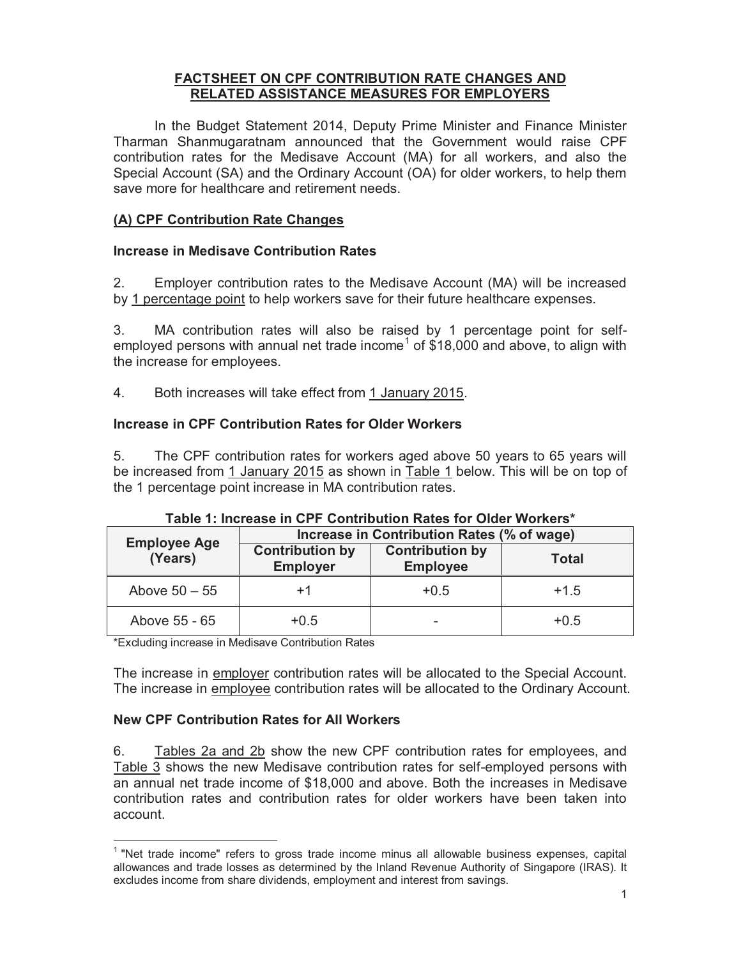### **FACTSHEET ON CPF CONTRIBUTION RATE CHANGES AND RELATED ASSISTANCE MEASURES FOR EMPLOYERS**

In the Budget Statement 2014, Deputy Prime Minister and Finance Minister Tharman Shanmugaratnam announced that the Government would raise CPF contribution rates for the Medisave Account (MA) for all workers, and also the Special Account (SA) and the Ordinary Account (OA) for older workers, to help them save more for healthcare and retirement needs.

# **(A) CPF Contribution Rate Changes**

# **Increase in Medisave Contribution Rates**

2. Employer contribution rates to the Medisave Account (MA) will be increased by 1 percentage point to help workers save for their future healthcare expenses.

3. MA contribution rates will also be raised by 1 percentage point for selfemployed persons with annual net trade income<sup>1</sup> of \$18,000 and above, to align with the increase for employees.

4. Both increases will take effect from 1 January 2015.

# **Increase in CPF Contribution Rates for Older Workers**

5. The CPF contribution rates for workers aged above 50 years to 65 years will be increased from 1 January 2015 as shown in Table 1 below. This will be on top of the 1 percentage point increase in MA contribution rates.

| <b>Employee Age</b> | Increase in Contribution Rates (% of wage) |                                           |              |  |
|---------------------|--------------------------------------------|-------------------------------------------|--------------|--|
| (Years)             | <b>Contribution by</b><br><b>Employer</b>  | <b>Contribution by</b><br><b>Employee</b> | <b>Total</b> |  |
| Above $50 - 55$     | +1                                         | $+0.5$                                    | $+1.5$       |  |
| Above 55 - 65       | $+0.5$                                     | $\overline{\phantom{0}}$                  | $+0.5$       |  |

# **Table 1: Increase in CPF Contribution Rates for Older Workers\***

\*Excluding increase in Medisave Contribution Rates

The increase in employer contribution rates will be allocated to the Special Account. The increase in employee contribution rates will be allocated to the Ordinary Account.

# **New CPF Contribution Rates for All Workers**

 $\overline{a}$ 

6. Tables 2a and 2b show the new CPF contribution rates for employees, and Table 3 shows the new Medisave contribution rates for self-employed persons with an annual net trade income of \$18,000 and above. Both the increases in Medisave contribution rates and contribution rates for older workers have been taken into account.

<sup>&</sup>lt;sup>1</sup> "Net trade income" refers to gross trade income minus all allowable business expenses, capital allowances and trade losses as determined by the Inland Revenue Authority of Singapore (IRAS). It excludes income from share dividends, employment and interest from savings.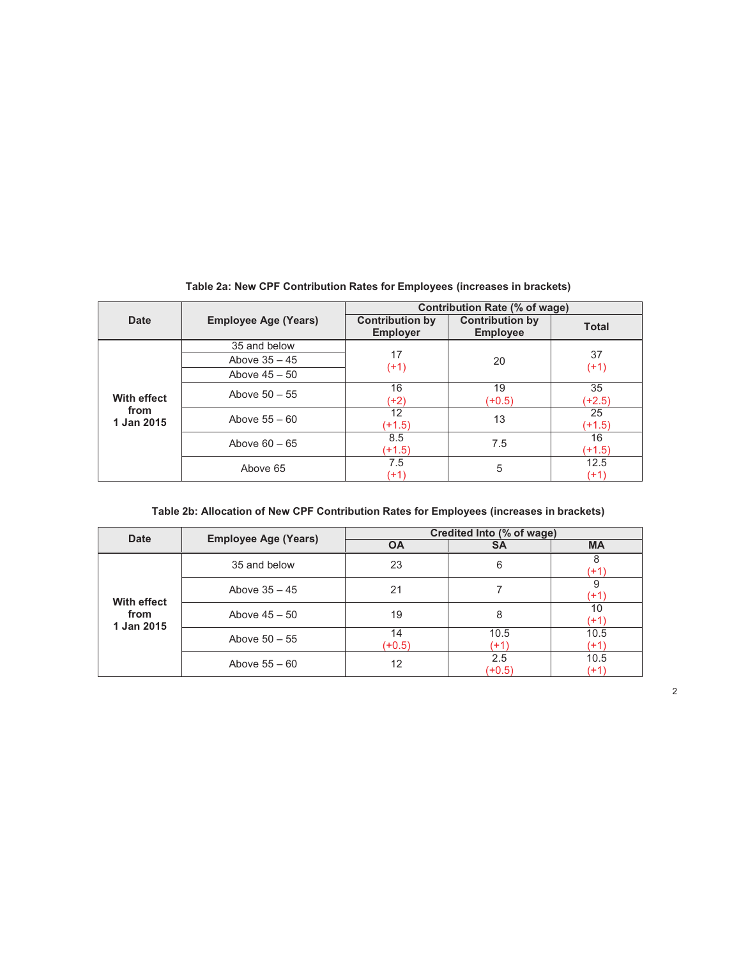|                                          | <b>Employee Age (Years)</b> | Contribution Rate (% of wage)             |                                           |                |
|------------------------------------------|-----------------------------|-------------------------------------------|-------------------------------------------|----------------|
| Date                                     |                             | <b>Contribution by</b><br><b>Employer</b> | <b>Contribution by</b><br><b>Employee</b> | <b>Total</b>   |
| <b>With effect</b><br>from<br>1 Jan 2015 | 35 and below                |                                           | 20                                        |                |
|                                          | Above $35 - 45$             | 17<br>$(+1)$                              |                                           | 37<br>$(+1)$   |
|                                          | Above $45 - 50$             |                                           |                                           |                |
|                                          | Above $50 - 55$             | 16<br>(+2)                                | 19<br>$(+0.5)$                            | 35<br>$(+2.5)$ |
|                                          | Above $55 - 60$             | 12<br>$(+1.5)$                            | 13                                        | 25<br>$(+1.5)$ |
|                                          | Above $60 - 65$             | 8.5<br>$(+1.5)$                           | 7.5                                       | 16<br>$(+1.5)$ |
|                                          | Above 65                    | 7.5<br>$(+1)$                             | 5                                         | 12.5<br>$(+1)$ |

**Table 2a: New CPF Contribution Rates for Employees (increases in brackets)** 

|  |  | Table 2b: Allocation of New CPF Contribution Rates for Employees (increases in brackets) |
|--|--|------------------------------------------------------------------------------------------|
|--|--|------------------------------------------------------------------------------------------|

| <b>Date</b>                              | <b>Employee Age (Years)</b> | Credited Into (% of wage) |                 |              |
|------------------------------------------|-----------------------------|---------------------------|-----------------|--------------|
|                                          |                             | <b>OA</b>                 | <b>SA</b>       | <b>MA</b>    |
| <b>With effect</b><br>from<br>1 Jan 2015 | 35 and below                | 23                        | 6               | 8<br>(+1)    |
|                                          | Above $35 - 45$             | 21                        |                 | 9<br>(+1)    |
|                                          | Above $45 - 50$             | 19                        | 8               | 10<br>(+1)   |
|                                          | Above $50 - 55$             | 14                        | 10.5            | 10.5         |
|                                          |                             | $(+0.5)$                  | $(+1)$          | (+1)         |
|                                          | Above $55 - 60$             | 12                        | 2.5<br>$(+0.5)$ | 10.5<br>(+1) |

2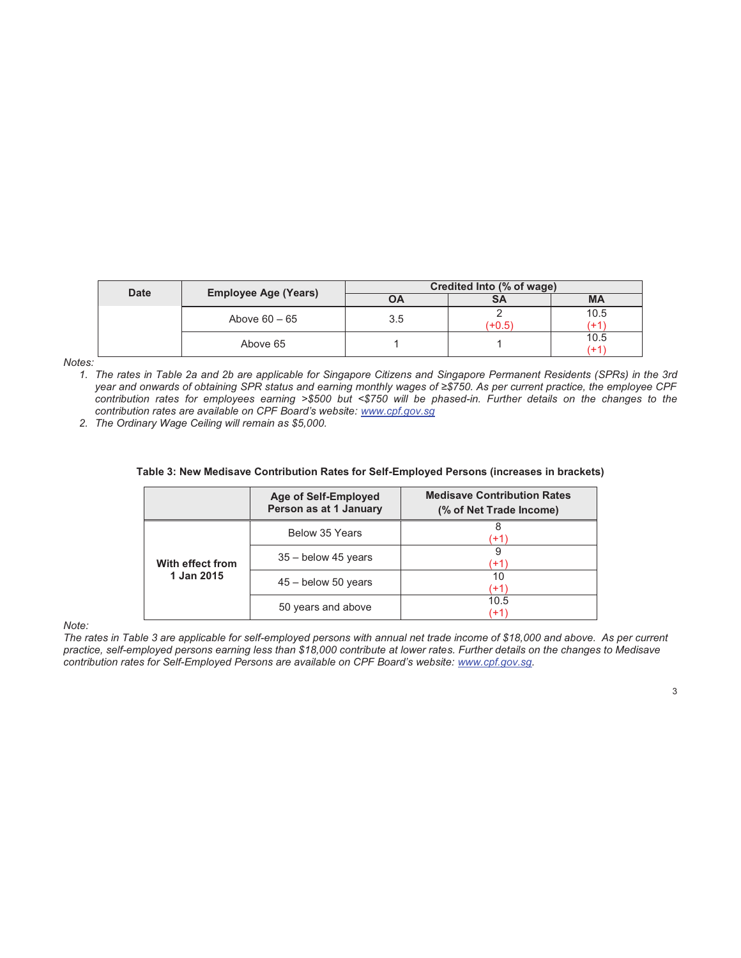| <b>Date</b> | <b>Employee Age (Years)</b> | Credited Into (% of wage) |      |              |
|-------------|-----------------------------|---------------------------|------|--------------|
|             |                             | OΑ                        | SΑ   | <b>MA</b>    |
|             | Above $60 - 65$             | 3.5                       | +0.5 | 10.5<br>$+1$ |
|             | Above 65                    |                           |      | 10.5<br>$+1$ |

*Notes:* 

*1. The rates in Table 2a and 2b are applicable for Singapore Citizens and Singapore Permanent Residents (SPRs) in the 3rd year and onwards of obtaining SPR status and earning monthly wages of ≥\$750. As per current practice, the employee CPF contribution rates for employees earning >\$500 but <\$750 will be phased-in. Further details on the changes to the contribution rates are available on CPF Board's website: www.cpf.gov.sg* 

*2. The Ordinary Wage Ceiling will remain as \$5,000.* 

|                                | <b>Age of Self-Employed</b><br>Person as at 1 January | <b>Medisave Contribution Rates</b><br>(% of Net Trade Income) |
|--------------------------------|-------------------------------------------------------|---------------------------------------------------------------|
| With effect from<br>1 Jan 2015 | Below 35 Years                                        | 8<br>$+1$                                                     |
|                                | $35 -$ below 45 years                                 | 9<br>(+1                                                      |
|                                | $45 -$ below 50 years                                 | 10<br>$+1$                                                    |
|                                | 50 years and above                                    | 10.5<br>(+1)                                                  |

#### **Table 3: New Medisave Contribution Rates for Self-Employed Persons (increases in brackets)**

*Note:* 

*The rates in Table 3 are applicable for self-employed persons with annual net trade income of \$18,000 and above. As per current practice, self-employed persons earning less than \$18,000 contribute at lower rates. Further details on the changes to Medisave contribution rates for Self-Employed Persons are available on CPF Board's website: www.cpf.gov.sg.*